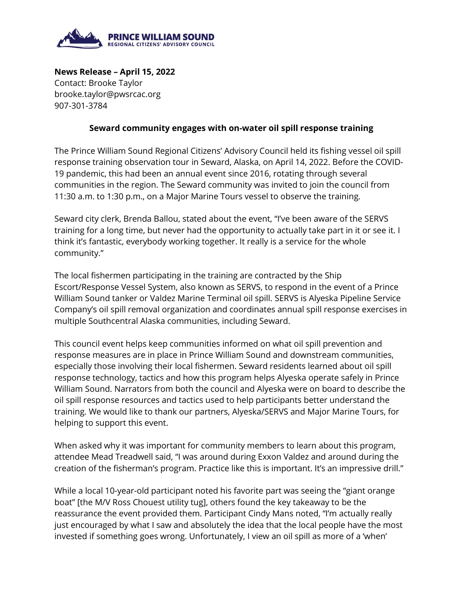

**News Release – April 15, 2022** Contact: Brooke Taylor brooke.taylor@pwsrcac.org 907-301-3784

## **Seward community engages with on-water oil spill response training**

The Prince William Sound Regional Citizens' Advisory Council held its fishing vessel oil spill response training observation tour in Seward, Alaska, on April 14, 2022. Before the COVID-19 pandemic, this had been an annual event since 2016, rotating through several communities in the region. The Seward community was invited to join the council from 11:30 a.m. to 1:30 p.m., on a Major Marine Tours vessel to observe the training.

Seward city clerk, Brenda Ballou, stated about the event, "I've been aware of the SERVS training for a long time, but never had the opportunity to actually take part in it or see it. I think it's fantastic, everybody working together. It really is a service for the whole community."

The local fishermen participating in the training are contracted by the Ship Escort/Response Vessel System, also known as SERVS, to respond in the event of a Prince William Sound tanker or Valdez Marine Terminal oil spill. SERVS is Alyeska Pipeline Service Company's oil spill removal organization and coordinates annual spill response exercises in multiple Southcentral Alaska communities, including Seward.

This council event helps keep communities informed on what oil spill prevention and response measures are in place in Prince William Sound and downstream communities, especially those involving their local fishermen. Seward residents learned about oil spill response technology, tactics and how this program helps Alyeska operate safely in Prince William Sound. Narrators from both the council and Alyeska were on board to describe the oil spill response resources and tactics used to help participants better understand the training. We would like to thank our partners, Alyeska/SERVS and Major Marine Tours, for helping to support this event.

When asked why it was important for community members to learn about this program, attendee Mead Treadwell said, "I was around during Exxon Valdez and around during the creation of the fisherman's program. Practice like this is important. It's an impressive drill."

While a local 10-year-old participant noted his favorite part was seeing the "giant orange boat" [the M/V Ross Chouest utility tug], others found the key takeaway to be the reassurance the event provided them. Participant Cindy Mans noted, "I'm actually really just encouraged by what I saw and absolutely the idea that the local people have the most invested if something goes wrong. Unfortunately, I view an oil spill as more of a 'when'